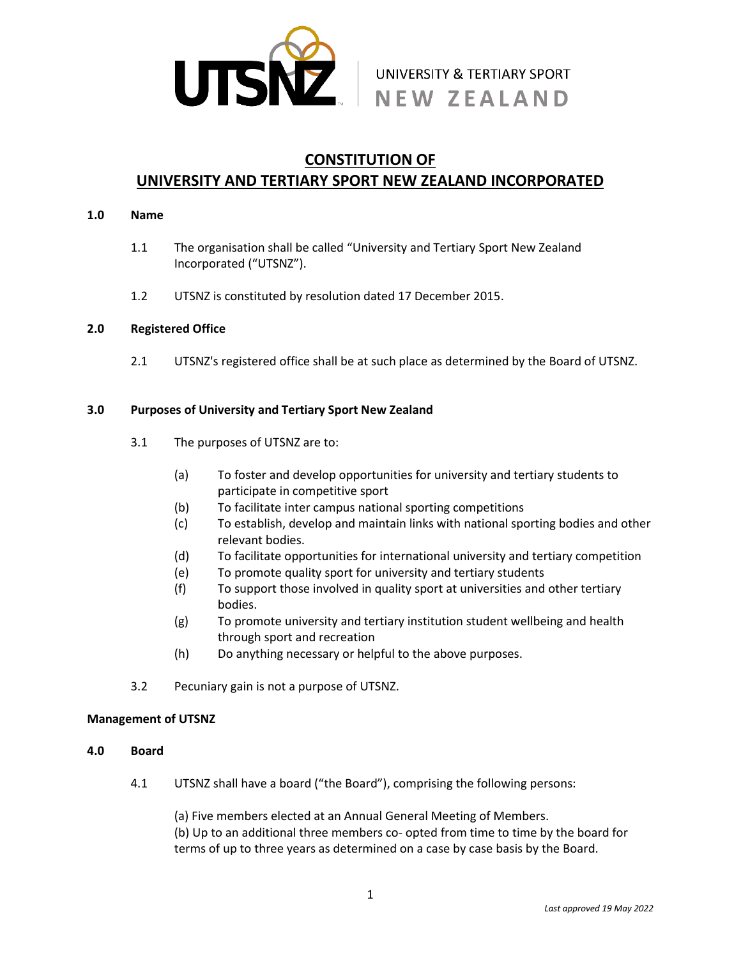

# NEW ZEALAND

# **CONSTITUTION OF**

# **UNIVERSITY AND TERTIARY SPORT NEW ZEALAND INCORPORATED**

#### **1.0 Name**

- 1.1 The organisation shall be called "University and Tertiary Sport New Zealand Incorporated ("UTSNZ").
- 1.2 UTSNZ is constituted by resolution dated 17 December 2015.

# **2.0 Registered Office**

2.1 UTSNZ's registered office shall be at such place as determined by the Board of UTSNZ.

# **3.0 Purposes of University and Tertiary Sport New Zealand**

- 3.1 The purposes of UTSNZ are to:
	- (a) To foster and develop opportunities for university and tertiary students to participate in competitive sport
	- (b) To facilitate inter campus national sporting competitions
	- (c) To establish, develop and maintain links with national sporting bodies and other relevant bodies.
	- (d) To facilitate opportunities for international university and tertiary competition
	- (e) To promote quality sport for university and tertiary students
	- (f) To support those involved in quality sport at universities and other tertiary bodies.
	- (g) To promote university and tertiary institution student wellbeing and health through sport and recreation
	- (h) Do anything necessary or helpful to the above purposes.
- 3.2 Pecuniary gain is not a purpose of UTSNZ.

# **Management of UTSNZ**

# **4.0 Board**

4.1 UTSNZ shall have a board ("the Board"), comprising the following persons:

(a) Five members elected at an Annual General Meeting of Members. (b) Up to an additional three members co- opted from time to time by the board for terms of up to three years as determined on a case by case basis by the Board.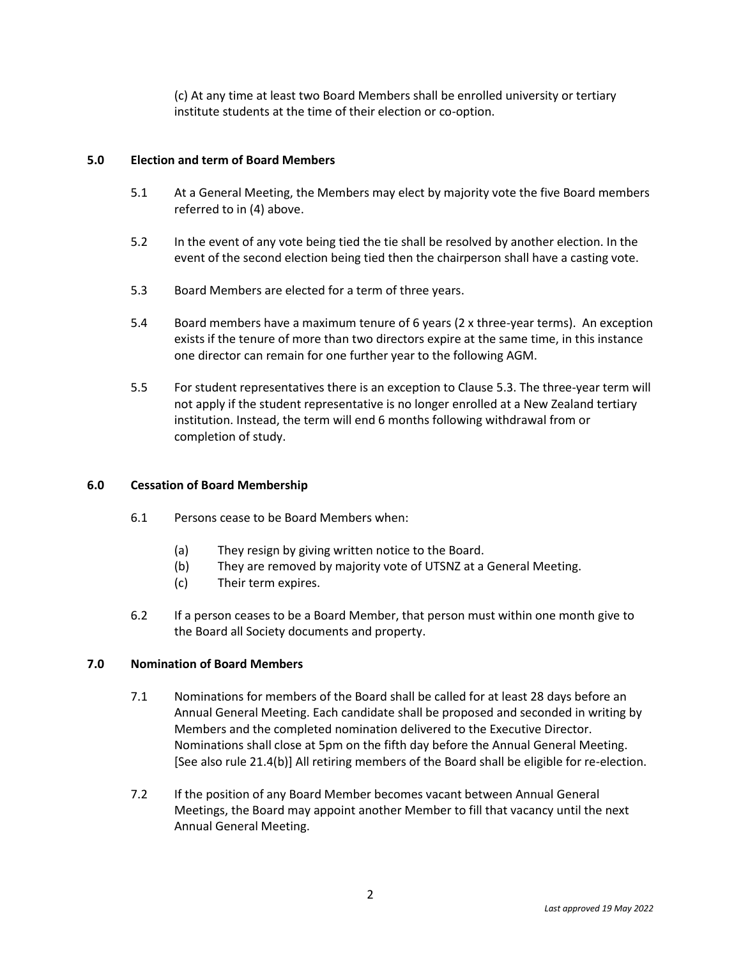(c) At any time at least two Board Members shall be enrolled university or tertiary institute students at the time of their election or co-option.

### **5.0 Election and term of Board Members**

- 5.1 At a General Meeting, the Members may elect by majority vote the five Board members referred to in (4) above.
- 5.2 In the event of any vote being tied the tie shall be resolved by another election. In the event of the second election being tied then the chairperson shall have a casting vote.
- 5.3 Board Members are elected for a term of three years.
- 5.4 Board members have a maximum tenure of 6 years (2 x three-year terms). An exception exists if the tenure of more than two directors expire at the same time, in this instance one director can remain for one further year to the following AGM.
- 5.5 For student representatives there is an exception to Clause 5.3. The three-year term will not apply if the student representative is no longer enrolled at a New Zealand tertiary institution. Instead, the term will end 6 months following withdrawal from or completion of study.

#### **6.0 Cessation of Board Membership**

- 6.1 Persons cease to be Board Members when:
	- (a) They resign by giving written notice to the Board.
	- (b) They are removed by majority vote of UTSNZ at a General Meeting.
	- (c) Their term expires.
- 6.2 If a person ceases to be a Board Member, that person must within one month give to the Board all Society documents and property.

#### **7.0 Nomination of Board Members**

- 7.1 Nominations for members of the Board shall be called for at least 28 days before an Annual General Meeting. Each candidate shall be proposed and seconded in writing by Members and the completed nomination delivered to the Executive Director. Nominations shall close at 5pm on the fifth day before the Annual General Meeting. [See also rule 21.4(b)] All retiring members of the Board shall be eligible for re-election.
- 7.2 If the position of any Board Member becomes vacant between Annual General Meetings, the Board may appoint another Member to fill that vacancy until the next Annual General Meeting.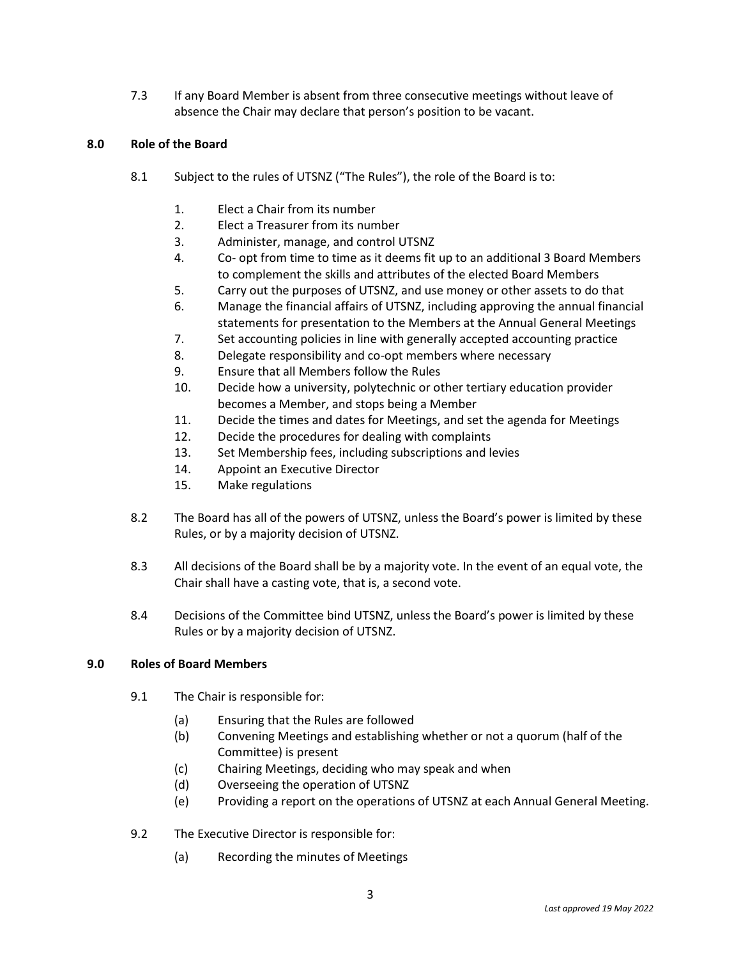7.3 If any Board Member is absent from three consecutive meetings without leave of absence the Chair may declare that person's position to be vacant.

# **8.0 Role of the Board**

- 8.1 Subject to the rules of UTSNZ ("The Rules"), the role of the Board is to:
	- 1. Elect a Chair from its number
	- 2. Elect a Treasurer from its number
	- 3. Administer, manage, and control UTSNZ
	- 4. Co- opt from time to time as it deems fit up to an additional 3 Board Members to complement the skills and attributes of the elected Board Members
	- 5. Carry out the purposes of UTSNZ, and use money or other assets to do that
	- 6. Manage the financial affairs of UTSNZ, including approving the annual financial statements for presentation to the Members at the Annual General Meetings
	- 7. Set accounting policies in line with generally accepted accounting practice
	- 8. Delegate responsibility and co-opt members where necessary
	- 9. Ensure that all Members follow the Rules
	- 10. Decide how a university, polytechnic or other tertiary education provider becomes a Member, and stops being a Member
	- 11. Decide the times and dates for Meetings, and set the agenda for Meetings
	- 12. Decide the procedures for dealing with complaints
	- 13. Set Membership fees, including subscriptions and levies
	- 14. Appoint an Executive Director
	- 15. Make regulations
- 8.2 The Board has all of the powers of UTSNZ, unless the Board's power is limited by these Rules, or by a majority decision of UTSNZ.
- 8.3 All decisions of the Board shall be by a majority vote. In the event of an equal vote, the Chair shall have a casting vote, that is, a second vote.
- 8.4 Decisions of the Committee bind UTSNZ, unless the Board's power is limited by these Rules or by a majority decision of UTSNZ.

# **9.0 Roles of Board Members**

- 9.1 The Chair is responsible for:
	- (a) Ensuring that the Rules are followed
	- (b) Convening Meetings and establishing whether or not a quorum (half of the Committee) is present
	- (c) Chairing Meetings, deciding who may speak and when
	- (d) Overseeing the operation of UTSNZ
	- (e) Providing a report on the operations of UTSNZ at each Annual General Meeting.
- 9.2 The Executive Director is responsible for:
	- (a) Recording the minutes of Meetings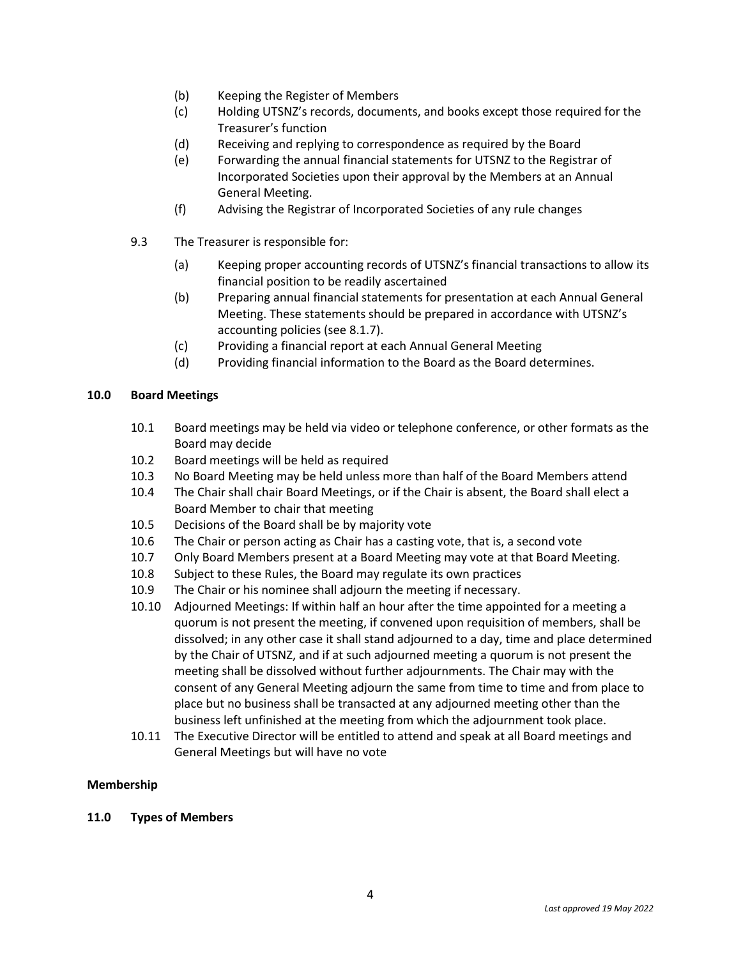- (b) Keeping the Register of Members
- (c) Holding UTSNZ's records, documents, and books except those required for the Treasurer's function
- (d) Receiving and replying to correspondence as required by the Board
- (e) Forwarding the annual financial statements for UTSNZ to the Registrar of Incorporated Societies upon their approval by the Members at an Annual General Meeting.
- (f) Advising the Registrar of Incorporated Societies of any rule changes
- 9.3 The Treasurer is responsible for:
	- (a) Keeping proper accounting records of UTSNZ's financial transactions to allow its financial position to be readily ascertained
	- (b) Preparing annual financial statements for presentation at each Annual General Meeting. These statements should be prepared in accordance with UTSNZ's accounting policies (see 8.1.7).
	- (c) Providing a financial report at each Annual General Meeting
	- (d) Providing financial information to the Board as the Board determines.

# **10.0 Board Meetings**

- 10.1 Board meetings may be held via video or telephone conference, or other formats as the Board may decide
- 10.2 Board meetings will be held as required
- 10.3 No Board Meeting may be held unless more than half of the Board Members attend
- 10.4 The Chair shall chair Board Meetings, or if the Chair is absent, the Board shall elect a Board Member to chair that meeting
- 10.5 Decisions of the Board shall be by majority vote
- 10.6 The Chair or person acting as Chair has a casting vote, that is, a second vote
- 10.7 Only Board Members present at a Board Meeting may vote at that Board Meeting.
- 10.8 Subject to these Rules, the Board may regulate its own practices
- 10.9 The Chair or his nominee shall adjourn the meeting if necessary.
- 10.10 Adjourned Meetings: If within half an hour after the time appointed for a meeting a quorum is not present the meeting, if convened upon requisition of members, shall be dissolved; in any other case it shall stand adjourned to a day, time and place determined by the Chair of UTSNZ, and if at such adjourned meeting a quorum is not present the meeting shall be dissolved without further adjournments. The Chair may with the consent of any General Meeting adjourn the same from time to time and from place to place but no business shall be transacted at any adjourned meeting other than the business left unfinished at the meeting from which the adjournment took place.
- 10.11 The Executive Director will be entitled to attend and speak at all Board meetings and General Meetings but will have no vote

# **Membership**

# **11.0 Types of Members**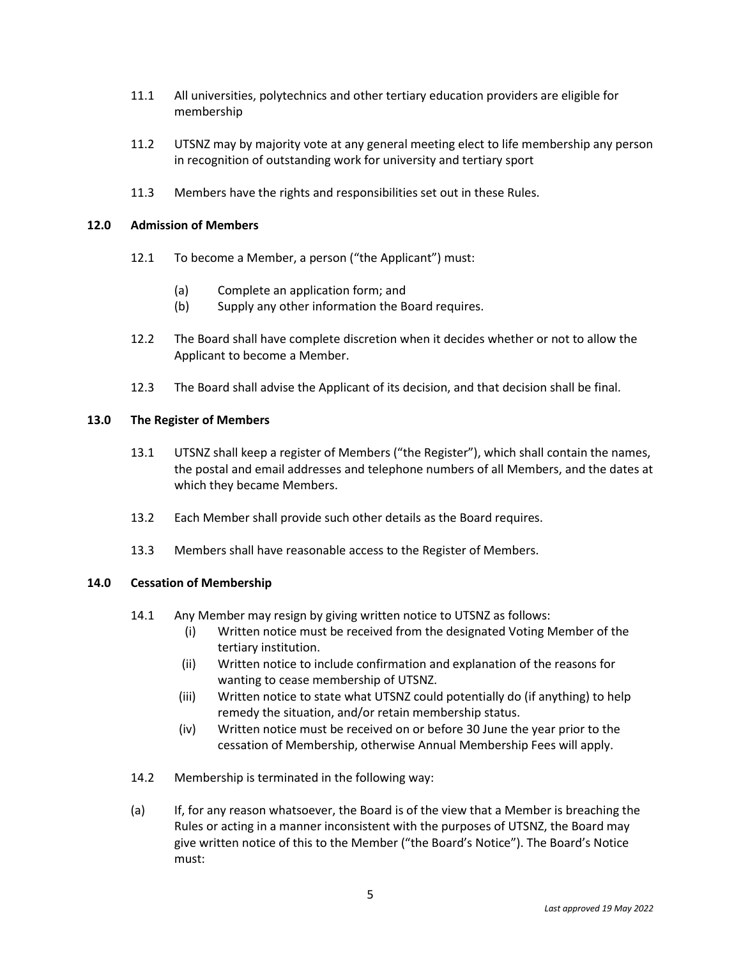- 11.1 All universities, polytechnics and other tertiary education providers are eligible for membership
- 11.2 UTSNZ may by majority vote at any general meeting elect to life membership any person in recognition of outstanding work for university and tertiary sport
- 11.3 Members have the rights and responsibilities set out in these Rules.

#### **12.0 Admission of Members**

- 12.1 To become a Member, a person ("the Applicant") must:
	- (a) Complete an application form; and
	- (b) Supply any other information the Board requires.
- 12.2 The Board shall have complete discretion when it decides whether or not to allow the Applicant to become a Member.
- 12.3 The Board shall advise the Applicant of its decision, and that decision shall be final.

#### **13.0 The Register of Members**

- 13.1 UTSNZ shall keep a register of Members ("the Register"), which shall contain the names, the postal and email addresses and telephone numbers of all Members, and the dates at which they became Members.
- 13.2 Each Member shall provide such other details as the Board requires.
- 13.3 Members shall have reasonable access to the Register of Members.

# **14.0 Cessation of Membership**

- 14.1 Any Member may resign by giving written notice to UTSNZ as follows:
	- (i) Written notice must be received from the designated Voting Member of the tertiary institution.
	- (ii) Written notice to include confirmation and explanation of the reasons for wanting to cease membership of UTSNZ.
	- (iii) Written notice to state what UTSNZ could potentially do (if anything) to help remedy the situation, and/or retain membership status.
	- (iv) Written notice must be received on or before 30 June the year prior to the cessation of Membership, otherwise Annual Membership Fees will apply.
- 14.2 Membership is terminated in the following way:
- (a) If, for any reason whatsoever, the Board is of the view that a Member is breaching the Rules or acting in a manner inconsistent with the purposes of UTSNZ, the Board may give written notice of this to the Member ("the Board's Notice"). The Board's Notice must: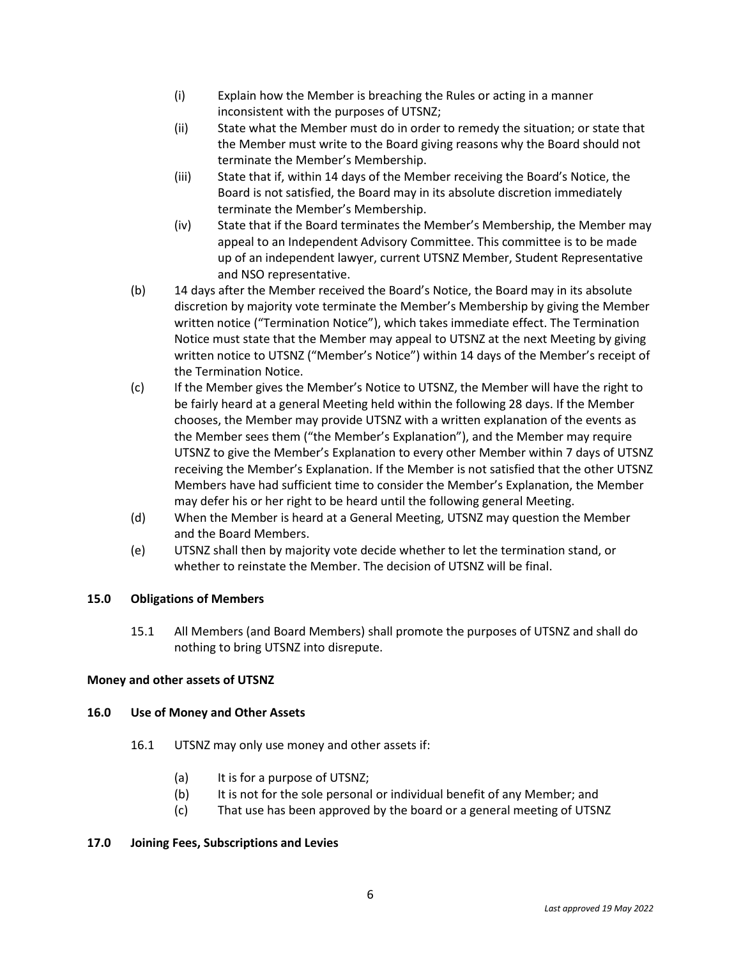- (i) Explain how the Member is breaching the Rules or acting in a manner inconsistent with the purposes of UTSNZ;
- (ii) State what the Member must do in order to remedy the situation; or state that the Member must write to the Board giving reasons why the Board should not terminate the Member's Membership.
- (iii) State that if, within 14 days of the Member receiving the Board's Notice, the Board is not satisfied, the Board may in its absolute discretion immediately terminate the Member's Membership.
- (iv) State that if the Board terminates the Member's Membership, the Member may appeal to an Independent Advisory Committee. This committee is to be made up of an independent lawyer, current UTSNZ Member, Student Representative and NSO representative.
- (b) 14 days after the Member received the Board's Notice, the Board may in its absolute discretion by majority vote terminate the Member's Membership by giving the Member written notice ("Termination Notice"), which takes immediate effect. The Termination Notice must state that the Member may appeal to UTSNZ at the next Meeting by giving written notice to UTSNZ ("Member's Notice") within 14 days of the Member's receipt of the Termination Notice.
- (c) If the Member gives the Member's Notice to UTSNZ, the Member will have the right to be fairly heard at a general Meeting held within the following 28 days. If the Member chooses, the Member may provide UTSNZ with a written explanation of the events as the Member sees them ("the Member's Explanation"), and the Member may require UTSNZ to give the Member's Explanation to every other Member within 7 days of UTSNZ receiving the Member's Explanation. If the Member is not satisfied that the other UTSNZ Members have had sufficient time to consider the Member's Explanation, the Member may defer his or her right to be heard until the following general Meeting.
- (d) When the Member is heard at a General Meeting, UTSNZ may question the Member and the Board Members.
- (e) UTSNZ shall then by majority vote decide whether to let the termination stand, or whether to reinstate the Member. The decision of UTSNZ will be final.

# **15.0 Obligations of Members**

15.1 All Members (and Board Members) shall promote the purposes of UTSNZ and shall do nothing to bring UTSNZ into disrepute.

# **Money and other assets of UTSNZ**

# **16.0 Use of Money and Other Assets**

- 16.1 UTSNZ may only use money and other assets if:
	- (a) It is for a purpose of UTSNZ;
	- (b) It is not for the sole personal or individual benefit of any Member; and
	- (c) That use has been approved by the board or a general meeting of UTSNZ

#### **17.0 Joining Fees, Subscriptions and Levies**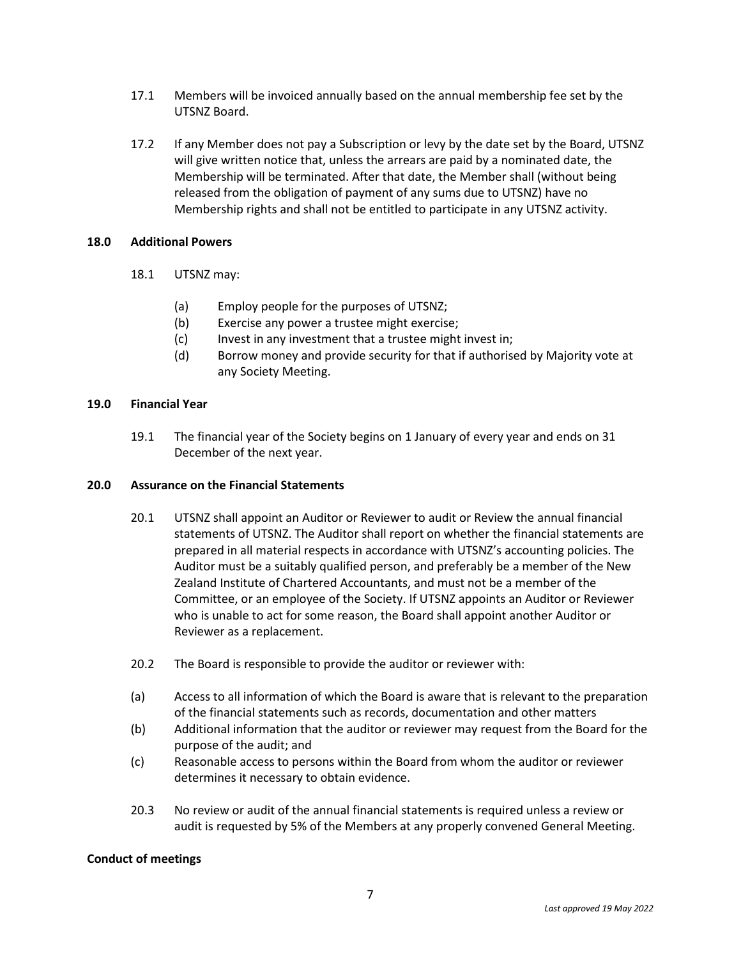- 17.1 Members will be invoiced annually based on the annual membership fee set by the UTSNZ Board.
- 17.2 If any Member does not pay a Subscription or levy by the date set by the Board, UTSNZ will give written notice that, unless the arrears are paid by a nominated date, the Membership will be terminated. After that date, the Member shall (without being released from the obligation of payment of any sums due to UTSNZ) have no Membership rights and shall not be entitled to participate in any UTSNZ activity.

#### **18.0 Additional Powers**

- 18.1 UTSNZ may:
	- (a) Employ people for the purposes of UTSNZ;
	- (b) Exercise any power a trustee might exercise;
	- (c) Invest in any investment that a trustee might invest in;
	- (d) Borrow money and provide security for that if authorised by Majority vote at any Society Meeting.

#### **19.0 Financial Year**

19.1 The financial year of the Society begins on 1 January of every year and ends on 31 December of the next year.

# **20.0 Assurance on the Financial Statements**

- 20.1 UTSNZ shall appoint an Auditor or Reviewer to audit or Review the annual financial statements of UTSNZ. The Auditor shall report on whether the financial statements are prepared in all material respects in accordance with UTSNZ's accounting policies. The Auditor must be a suitably qualified person, and preferably be a member of the New Zealand Institute of Chartered Accountants, and must not be a member of the Committee, or an employee of the Society. If UTSNZ appoints an Auditor or Reviewer who is unable to act for some reason, the Board shall appoint another Auditor or Reviewer as a replacement.
- 20.2 The Board is responsible to provide the auditor or reviewer with:
- (a) Access to all information of which the Board is aware that is relevant to the preparation of the financial statements such as records, documentation and other matters
- (b) Additional information that the auditor or reviewer may request from the Board for the purpose of the audit; and
- (c) Reasonable access to persons within the Board from whom the auditor or reviewer determines it necessary to obtain evidence.
- 20.3 No review or audit of the annual financial statements is required unless a review or audit is requested by 5% of the Members at any properly convened General Meeting.

#### **Conduct of meetings**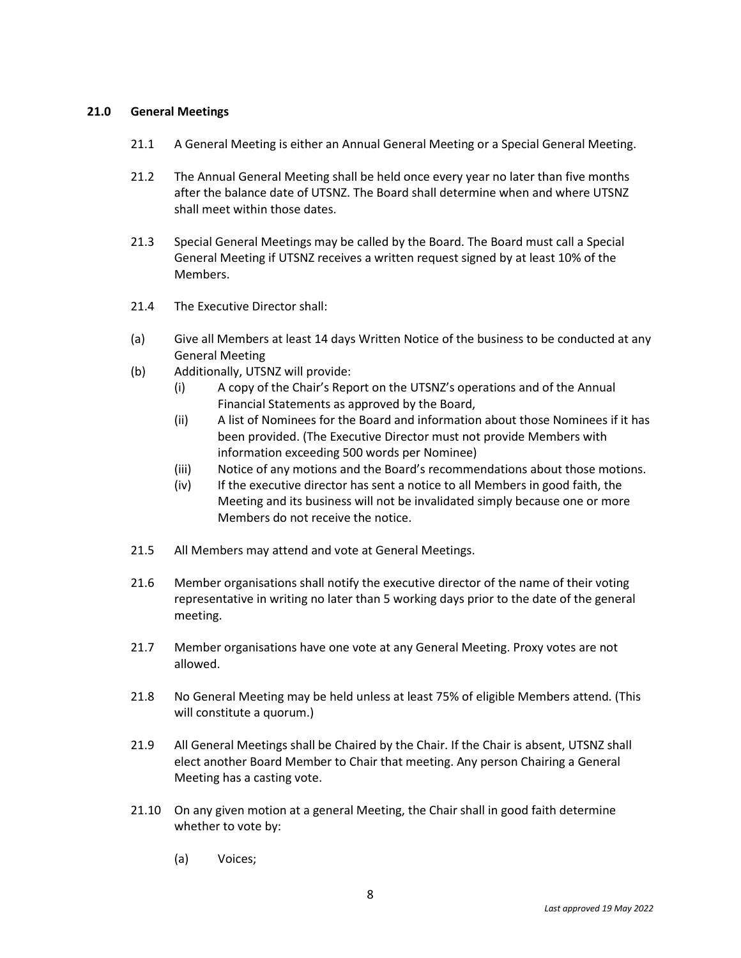# **21.0 General Meetings**

- 21.1 A General Meeting is either an Annual General Meeting or a Special General Meeting.
- 21.2 The Annual General Meeting shall be held once every year no later than five months after the balance date of UTSNZ. The Board shall determine when and where UTSNZ shall meet within those dates.
- 21.3 Special General Meetings may be called by the Board. The Board must call a Special General Meeting if UTSNZ receives a written request signed by at least 10% of the Members.
- 21.4 The Executive Director shall:
- (a) Give all Members at least 14 days Written Notice of the business to be conducted at any General Meeting
- (b) Additionally, UTSNZ will provide:
	- (i) A copy of the Chair's Report on the UTSNZ's operations and of the Annual Financial Statements as approved by the Board,
	- (ii) A list of Nominees for the Board and information about those Nominees if it has been provided. (The Executive Director must not provide Members with information exceeding 500 words per Nominee)
	- (iii) Notice of any motions and the Board's recommendations about those motions.
	- (iv) If the executive director has sent a notice to all Members in good faith, the Meeting and its business will not be invalidated simply because one or more Members do not receive the notice.
- 21.5 All Members may attend and vote at General Meetings.
- 21.6 Member organisations shall notify the executive director of the name of their voting representative in writing no later than 5 working days prior to the date of the general meeting.
- 21.7 Member organisations have one vote at any General Meeting. Proxy votes are not allowed.
- 21.8 No General Meeting may be held unless at least 75% of eligible Members attend. (This will constitute a quorum.)
- 21.9 All General Meetings shall be Chaired by the Chair. If the Chair is absent, UTSNZ shall elect another Board Member to Chair that meeting. Any person Chairing a General Meeting has a casting vote.
- 21.10 On any given motion at a general Meeting, the Chair shall in good faith determine whether to vote by:
	- (a) Voices;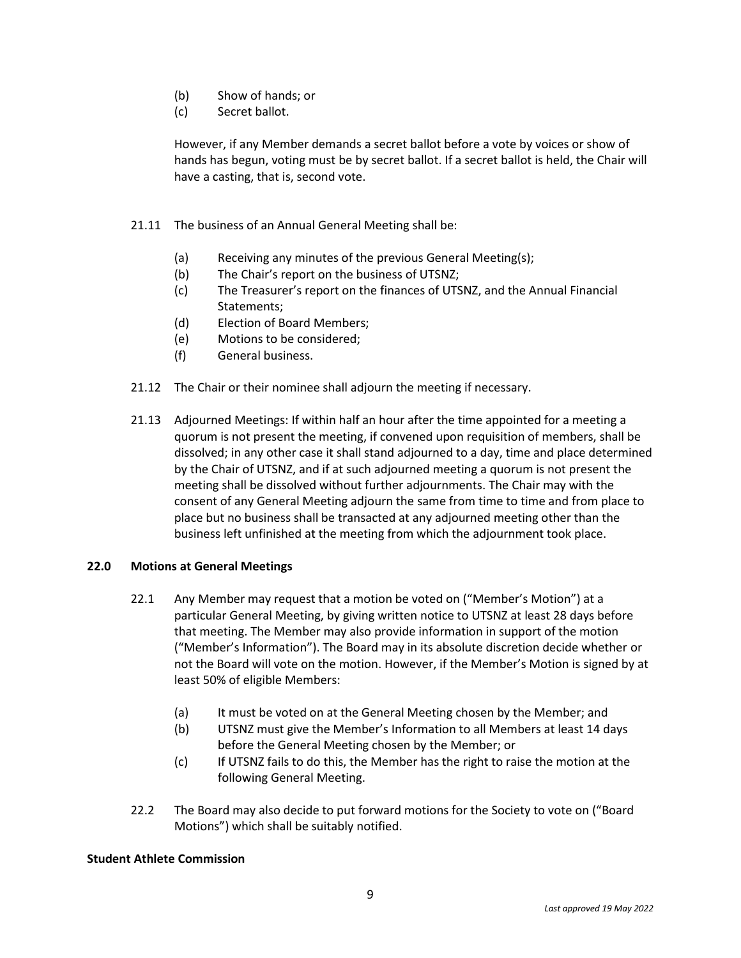- (b) Show of hands; or
- (c) Secret ballot.

However, if any Member demands a secret ballot before a vote by voices or show of hands has begun, voting must be by secret ballot. If a secret ballot is held, the Chair will have a casting, that is, second vote.

- 21.11 The business of an Annual General Meeting shall be:
	- (a) Receiving any minutes of the previous General Meeting(s);
	- (b) The Chair's report on the business of UTSNZ;
	- (c) The Treasurer's report on the finances of UTSNZ, and the Annual Financial Statements;
	- (d) Election of Board Members;
	- (e) Motions to be considered;
	- (f) General business.
- 21.12 The Chair or their nominee shall adjourn the meeting if necessary.
- 21.13 Adjourned Meetings: If within half an hour after the time appointed for a meeting a quorum is not present the meeting, if convened upon requisition of members, shall be dissolved; in any other case it shall stand adjourned to a day, time and place determined by the Chair of UTSNZ, and if at such adjourned meeting a quorum is not present the meeting shall be dissolved without further adjournments. The Chair may with the consent of any General Meeting adjourn the same from time to time and from place to place but no business shall be transacted at any adjourned meeting other than the business left unfinished at the meeting from which the adjournment took place.

# **22.0 Motions at General Meetings**

- 22.1 Any Member may request that a motion be voted on ("Member's Motion") at a particular General Meeting, by giving written notice to UTSNZ at least 28 days before that meeting. The Member may also provide information in support of the motion ("Member's Information"). The Board may in its absolute discretion decide whether or not the Board will vote on the motion. However, if the Member's Motion is signed by at least 50% of eligible Members:
	- (a) It must be voted on at the General Meeting chosen by the Member; and
	- (b) UTSNZ must give the Member's Information to all Members at least 14 days before the General Meeting chosen by the Member; or
	- (c) If UTSNZ fails to do this, the Member has the right to raise the motion at the following General Meeting.
- 22.2 The Board may also decide to put forward motions for the Society to vote on ("Board Motions") which shall be suitably notified.

#### **Student Athlete Commission**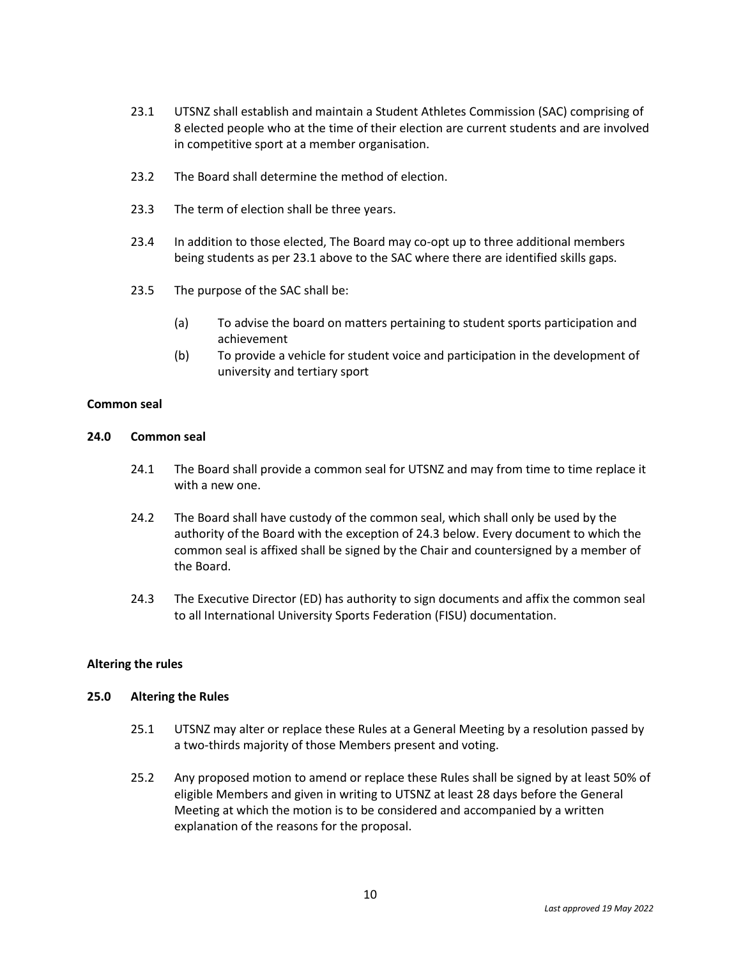- 23.1 UTSNZ shall establish and maintain a Student Athletes Commission (SAC) comprising of 8 elected people who at the time of their election are current students and are involved in competitive sport at a member organisation.
- 23.2 The Board shall determine the method of election.
- 23.3 The term of election shall be three years.
- 23.4 In addition to those elected, The Board may co-opt up to three additional members being students as per 23.1 above to the SAC where there are identified skills gaps.
- 23.5 The purpose of the SAC shall be:
	- (a) To advise the board on matters pertaining to student sports participation and achievement
	- (b) To provide a vehicle for student voice and participation in the development of university and tertiary sport

#### **Common seal**

#### **24.0 Common seal**

- 24.1 The Board shall provide a common seal for UTSNZ and may from time to time replace it with a new one.
- 24.2 The Board shall have custody of the common seal, which shall only be used by the authority of the Board with the exception of 24.3 below. Every document to which the common seal is affixed shall be signed by the Chair and countersigned by a member of the Board.
- 24.3 The Executive Director (ED) has authority to sign documents and affix the common seal to all International University Sports Federation (FISU) documentation.

#### **Altering the rules**

#### **25.0 Altering the Rules**

- 25.1 UTSNZ may alter or replace these Rules at a General Meeting by a resolution passed by a two-thirds majority of those Members present and voting.
- 25.2 Any proposed motion to amend or replace these Rules shall be signed by at least 50% of eligible Members and given in writing to UTSNZ at least 28 days before the General Meeting at which the motion is to be considered and accompanied by a written explanation of the reasons for the proposal.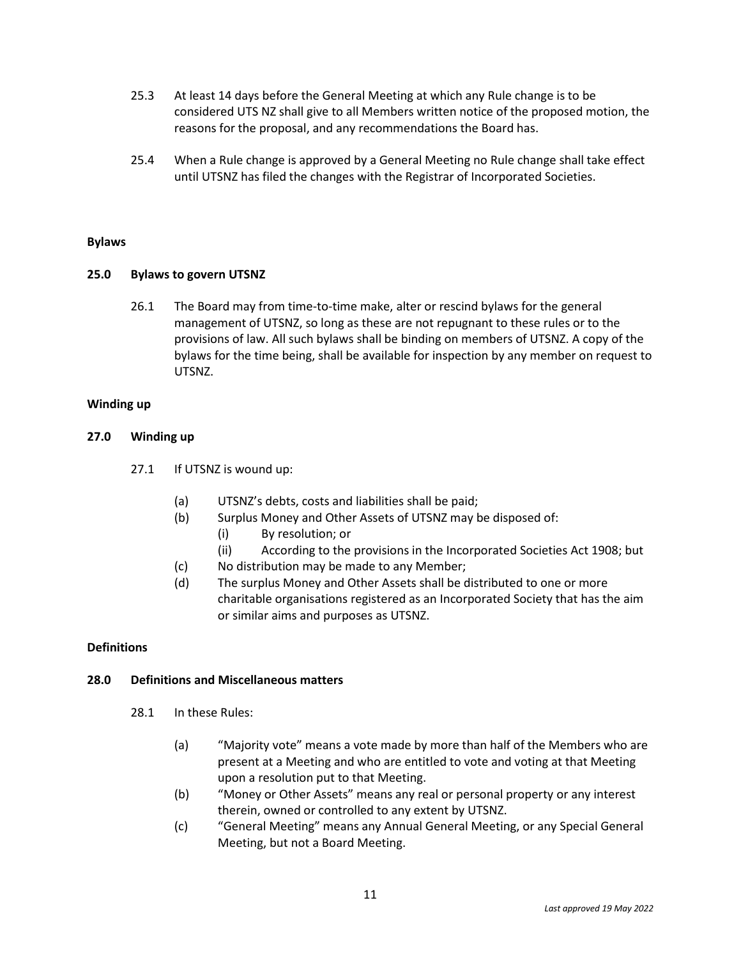- 25.3 At least 14 days before the General Meeting at which any Rule change is to be considered UTS NZ shall give to all Members written notice of the proposed motion, the reasons for the proposal, and any recommendations the Board has.
- 25.4 When a Rule change is approved by a General Meeting no Rule change shall take effect until UTSNZ has filed the changes with the Registrar of Incorporated Societies.

### **Bylaws**

### **25.0 Bylaws to govern UTSNZ**

26.1 The Board may from time-to-time make, alter or rescind bylaws for the general management of UTSNZ, so long as these are not repugnant to these rules or to the provisions of law. All such bylaws shall be binding on members of UTSNZ. A copy of the bylaws for the time being, shall be available for inspection by any member on request to UTSNZ.

### **Winding up**

### **27.0 Winding up**

- 27.1 If UTSNZ is wound up:
	- (a) UTSNZ's debts, costs and liabilities shall be paid;
	- (b) Surplus Money and Other Assets of UTSNZ may be disposed of:
		- (i) By resolution; or
		- (ii) According to the provisions in the Incorporated Societies Act 1908; but
	- (c) No distribution may be made to any Member;
	- (d) The surplus Money and Other Assets shall be distributed to one or more charitable organisations registered as an Incorporated Society that has the aim or similar aims and purposes as UTSNZ.

# **Definitions**

# **28.0 Definitions and Miscellaneous matters**

- 28.1 In these Rules:
	- (a) "Majority vote" means a vote made by more than half of the Members who are present at a Meeting and who are entitled to vote and voting at that Meeting upon a resolution put to that Meeting.
	- (b) "Money or Other Assets" means any real or personal property or any interest therein, owned or controlled to any extent by UTSNZ.
	- (c) "General Meeting" means any Annual General Meeting, or any Special General Meeting, but not a Board Meeting.